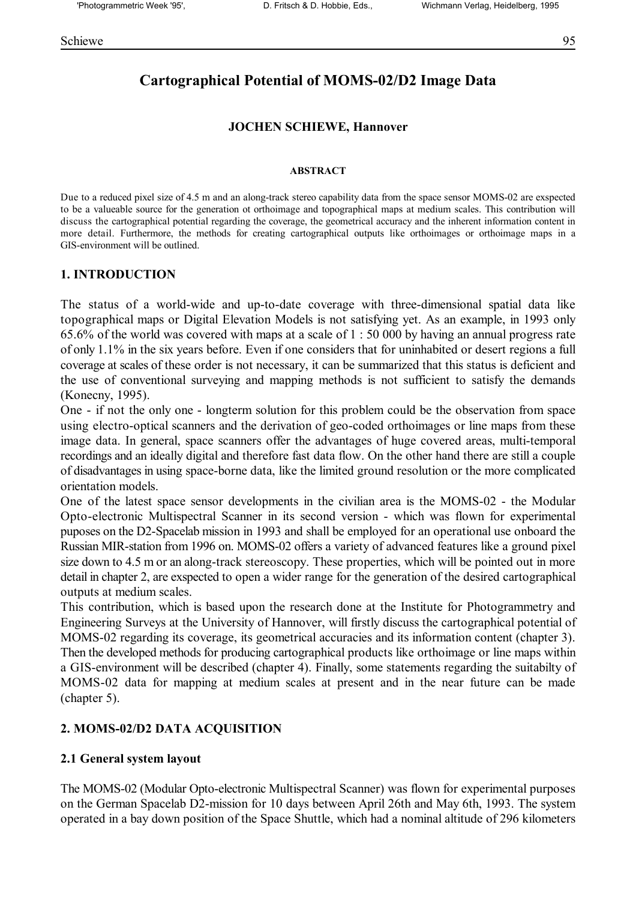# **Cartographical Potential of MOMS-02/D2 Image Data**

#### **JOCHEN SCHIEWE, Hannover**

#### **ABSTRACT**

Due to a reduced pixel size of 4.5 m and an along-track stereo capability data from the space sensor MOMS-02 are exspected to be a valueable source for the generation ot orthoimage and topographical maps at medium scales. This contribution will discuss the cartographical potential regarding the coverage, the geometrical accuracy and the inherent information content in more detail. Furthermore, the methods for creating cartographical outputs like orthoimages or orthoimage maps in a GIS-environment will be outlined.

#### **1. INTRODUCTION**

The status of a world-wide and up-to-date coverage with three-dimensional spatial data like topographical maps or Digital Elevation Models is not satisfying yet. As an example, in 1993 only 65.6% of the world was covered with maps at a scale of 1 : 50 000 by having an annual progress rate of only 1.1% in the six years before. Even if one considers that for uninhabited or desert regions a full coverage at scales of these order is not necessary, it can be summarized that this status is deficient and the use of conventional surveying and mapping methods is not sufficient to satisfy the demands (Konecny, 1995).

One - if not the only one - longterm solution for this problem could be the observation from space using electro-optical scanners and the derivation of geo-coded orthoimages or line maps from these image data. In general, space scanners offer the advantages of huge covered areas, multi-temporal recordings and an ideally digital and therefore fast data flow. On the other hand there are still a couple of disadvantages in using space-borne data, like the limited ground resolution or the more complicated orientation models.

One of the latest space sensor developments in the civilian area is the MOMS-02 - the Modular Opto-electronic Multispectral Scanner in its second version - which was flown for experimental puposes on the D2-Spacelab mission in 1993 and shall be employed for an operational use onboard the Russian MIR-station from 1996 on. MOMS-02 offers a variety of advanced features like a ground pixel size down to 4.5 m or an along-track stereoscopy. These properties, which will be pointed out in more detail in chapter 2, are exspected to open a wider range for the generation of the desired cartographical outputs at medium scales.

This contribution, which is based upon the research done at the Institute for Photogrammetry and Engineering Surveys at the University of Hannover, will firstly discuss the cartographical potential of MOMS-02 regarding its coverage, its geometrical accuracies and its information content (chapter 3). Then the developed methods for producing cartographical products like orthoimage or line maps within a GIS-environment will be described (chapter 4). Finally, some statements regarding the suitabilty of MOMS-02 data for mapping at medium scales at present and in the near future can be made (chapter 5).

### **2. MOMS-02/D2 DATA ACQUISITION**

#### **2.1 General system layout**

The MOMS-02 (Modular Opto-electronic Multispectral Scanner) was flown for experimental purposes on the German Spacelab D2-mission for 10 days between April 26th and May 6th, 1993. The system operated in a bay down position of the Space Shuttle, which had a nominal altitude of 296 kilometers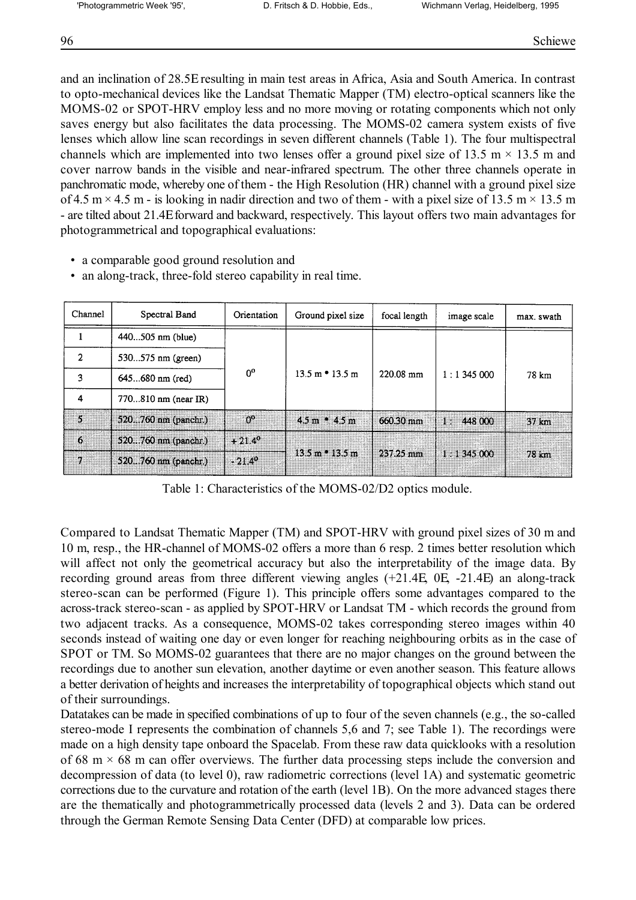and an inclination of 28.5Ε resulting in main test areas in Africa, Asia and South America. In contrast to opto-mechanical devices like the Landsat Thematic Mapper (TM) electro-optical scanners like the MOMS-02 or SPOT-HRV employ less and no more moving or rotating components which not only saves energy but also facilitates the data processing. The MOMS-02 camera system exists of five lenses which allow line scan recordings in seven different channels (Table 1). The four multispectral channels which are implemented into two lenses offer a ground pixel size of 13.5 m  $\times$  13.5 m and cover narrow bands in the visible and near-infrared spectrum. The other three channels operate in panchromatic mode, whereby one of them - the High Resolution (HR) channel with a ground pixel size of 4.5 m  $\times$  4.5 m - is looking in nadir direction and two of them - with a pixel size of 13.5 m  $\times$  13.5 m - are tilted about 21.4Ε forward and backward, respectively. This layout offers two main advantages for photogrammetrical and topographical evaluations:

• a comparable good ground resolution and

|  |  |  | • an along-track, three-fold stereo capability in real time. |  |
|--|--|--|--------------------------------------------------------------|--|
|--|--|--|--------------------------------------------------------------|--|

| Channel        | Spectral Band         | Orientation     | Ground pixel size                   | focal length        | image scale   | max. swath       |
|----------------|-----------------------|-----------------|-------------------------------------|---------------------|---------------|------------------|
|                | $440505$ nm (blue)    |                 |                                     |                     |               |                  |
| $\overline{2}$ | 530575 nm (green)     |                 | $13.5 \text{ m}$ $\cdot$ 13.5 m     | 220.08 mm           | 1:1345000     | 78 km            |
| 3              | 645680 nm (red)       | 0 <sup>o</sup>  |                                     |                     |               |                  |
| 4              | 770810 nm (near IR)   |                 |                                     |                     |               |                  |
| ×              | $520760$ nm (panchr.) | റ്റൗ            | $4.5 m + 4.5 m$                     | 660.30 mm           | 448 000<br>13 | $37 \mathrm{km}$ |
| Æ.             | 520760 nm (panchr.)   | $+21.4^{\circ}$ | $13.5 \text{ m}$ = $13.5 \text{ m}$ | $257.25 \text{ mm}$ | 1:1345000     | 78 km            |
| D.             | 520760 nm (panchr.)   | $-21.4^{\circ}$ |                                     |                     |               |                  |

Table 1: Characteristics of the MOMS-02/D2 optics module.

Compared to Landsat Thematic Mapper (TM) and SPOT-HRV with ground pixel sizes of 30 m and 10 m, resp., the HR-channel of MOMS-02 offers a more than 6 resp. 2 times better resolution which will affect not only the geometrical accuracy but also the interpretability of the image data. By recording ground areas from three different viewing angles (+21.4Ε, 0Ε, -21.4Ε) an along-track stereo-scan can be performed (Figure 1). This principle offers some advantages compared to the across-track stereo-scan - as applied by SPOT-HRV or Landsat TM - which records the ground from two adjacent tracks. As a consequence, MOMS-02 takes corresponding stereo images within 40 seconds instead of waiting one day or even longer for reaching neighbouring orbits as in the case of SPOT or TM. So MOMS-02 guarantees that there are no major changes on the ground between the recordings due to another sun elevation, another daytime or even another season. This feature allows a better derivation of heights and increases the interpretability of topographical objects which stand out of their surroundings.

Datatakes can be made in specified combinations of up to four of the seven channels (e.g., the so-called stereo-mode I represents the combination of channels 5,6 and 7; see Table 1). The recordings were made on a high density tape onboard the Spacelab. From these raw data quicklooks with a resolution of 68 m  $\times$  68 m can offer overviews. The further data processing steps include the conversion and decompression of data (to level 0), raw radiometric corrections (level 1A) and systematic geometric corrections due to the curvature and rotation of the earth (level 1B). On the more advanced stages there are the thematically and photogrammetrically processed data (levels 2 and 3). Data can be ordered through the German Remote Sensing Data Center (DFD) at comparable low prices.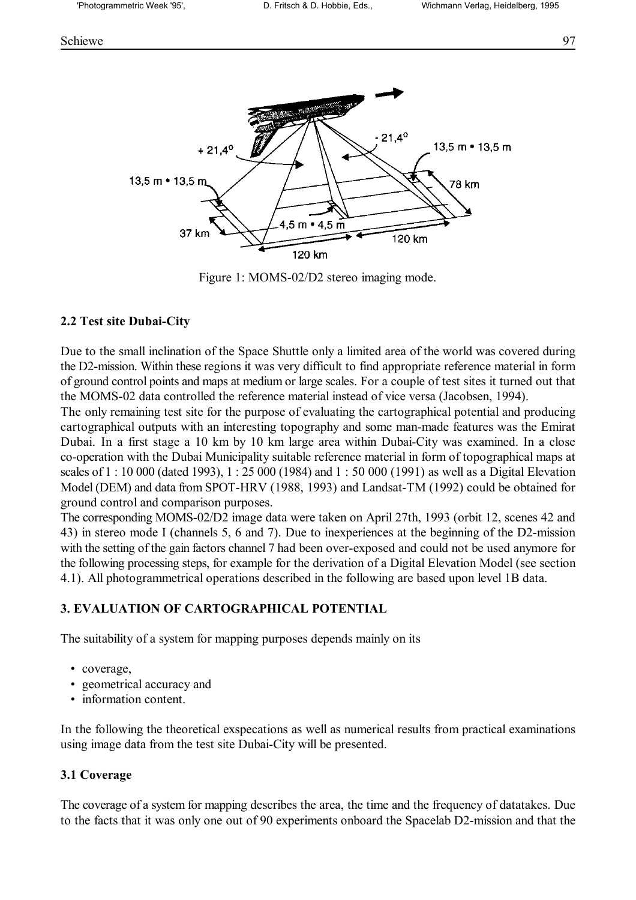

Figure 1: MOMS-02/D2 stereo imaging mode.

## **2.2 Test site Dubai-City**

Due to the small inclination of the Space Shuttle only a limited area of the world was covered during the D2-mission. Within these regions it was very difficult to find appropriate reference material in form of ground control points and maps at medium or large scales. For a couple of test sites it turned out that the MOMS-02 data controlled the reference material instead of vice versa (Jacobsen, 1994).

The only remaining test site for the purpose of evaluating the cartographical potential and producing cartographical outputs with an interesting topography and some man-made features was the Emirat Dubai. In a first stage a 10 km by 10 km large area within Dubai-City was examined. In a close co-operation with the Dubai Municipality suitable reference material in form of topographical maps at scales of 1 : 10 000 (dated 1993), 1 : 25 000 (1984) and 1 : 50 000 (1991) as well as a Digital Elevation Model (DEM) and data from SPOT-HRV (1988, 1993) and Landsat-TM (1992) could be obtained for ground control and comparison purposes.

The corresponding MOMS-02/D2 image data were taken on April 27th, 1993 (orbit 12, scenes 42 and 43) in stereo mode I (channels 5, 6 and 7). Due to inexperiences at the beginning of the D2-mission with the setting of the gain factors channel 7 had been over-exposed and could not be used anymore for the following processing steps, for example for the derivation of a Digital Elevation Model (see section 4.1). All photogrammetrical operations described in the following are based upon level 1B data.

## **3. EVALUATION OF CARTOGRAPHICAL POTENTIAL**

The suitability of a system for mapping purposes depends mainly on its

- coverage,
- geometrical accuracy and
- information content.

In the following the theoretical exspecations as well as numerical results from practical examinations using image data from the test site Dubai-City will be presented.

### **3.1 Coverage**

The coverage of a system for mapping describes the area, the time and the frequency of datatakes. Due to the facts that it was only one out of 90 experiments onboard the Spacelab D2-mission and that the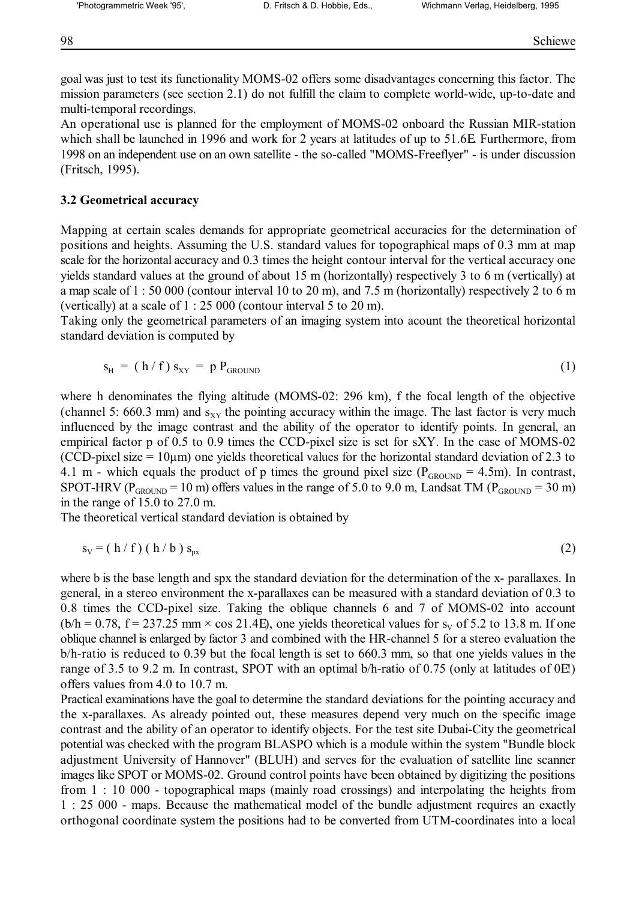goal was just to test its functionality MOMS-02 offers some disadvantages concerning this factor. The mission parameters (see section 2.1) do not fulfill the claim to complete world-wide, up-to-date and multi-temporal recordings.

An operational use is planned for the employment of MOMS-02 onboard the Russian MIR-station which shall be launched in 1996 and work for 2 years at latitudes of up to 51.6E. Furthermore, from 1998 on an independent use on an own satellite - the so-called "MOMS-Freeflyer" - is under discussion (Fritsch, 1995).

#### **3.2 Geometrical accuracy**

Mapping at certain scales demands for appropriate geometrical accuracies for the determination of positions and heights. Assuming the U.S. standard values for topographical maps of 0.3 mm at map scale for the horizontal accuracy and 0.3 times the height contour interval for the vertical accuracy one yields standard values at the ground of about 15 m (horizontally) respectively 3 to 6 m (vertically) at a map scale of 1 : 50 000 (contour interval 10 to 20 m), and 7.5 m (horizontally) respectively 2 to 6 m (vertically) at a scale of 1 : 25 000 (contour interval 5 to 20 m).

Taking only the geometrical parameters of an imaging system into acount the theoretical horizontal standard deviation is computed by

$$
s_{H} = (h/f) s_{XY} = p P_{GROUND}
$$
 (1)

where h denominates the flying altitude (MOMS-02: 296 km), f the focal length of the objective (channel 5: 660.3 mm) and  $s_{XY}$  the pointing accuracy within the image. The last factor is very much influenced by the image contrast and the ability of the operator to identify points. In general, an empirical factor p of 0.5 to 0.9 times the CCD-pixel size is set for sXY. In the case of MOMS-02 (CCD-pixel size  $= 10 \mu m$ ) one yields theoretical values for the horizontal standard deviation of 2.3 to 4.1 m - which equals the product of p times the ground pixel size ( $P_{GROUND} = 4.5$ m). In contrast, SPOT-HRV ( $P_{\text{GROIND}} = 10 \text{ m}$ ) offers values in the range of 5.0 to 9.0 m, Landsat TM ( $P_{\text{GROIND}} = 30 \text{ m}$ ) in the range of 15.0 to 27.0 m.

The theoretical vertical standard deviation is obtained by

$$
s_v = (h/f) (h/b) s_{px}
$$
 (2)

where b is the base length and spx the standard deviation for the determination of the x- parallaxes. In general, in a stereo environment the x-parallaxes can be measured with a standard deviation of 0.3 to 0.8 times the CCD-pixel size. Taking the oblique channels 6 and 7 of MOMS-02 into account  $(b/h = 0.78, f = 237.25 \text{ mm} \times \cos 21.4E)$ , one yields theoretical values for s<sub>v</sub> of 5.2 to 13.8 m. If one oblique channel is enlarged by factor 3 and combined with the HR-channel 5 for a stereo evaluation the b/h-ratio is reduced to 0.39 but the focal length is set to 660.3 mm, so that one yields values in the range of 3.5 to 9.2 m. In contrast, SPOT with an optimal b/h-ratio of 0.75 (only at latitudes of 0Ε!) offers values from 4.0 to 10.7 m.

Practical examinations have the goal to determine the standard deviations for the pointing accuracy and the x-parallaxes. As already pointed out, these measures depend very much on the specific image contrast and the ability of an operator to identify objects. For the test site Dubai-City the geometrical potential was checked with the program BLASPO which is a module within the system "Bundle block adjustment University of Hannover" (BLUH) and serves for the evaluation of satellite line scanner images like SPOT or MOMS-02. Ground control points have been obtained by digitizing the positions from 1 : 10 000 - topographical maps (mainly road crossings) and interpolating the heights from 1 : 25 000 - maps. Because the mathematical model of the bundle adjustment requires an exactly orthogonal coordinate system the positions had to be converted from UTM-coordinates into a local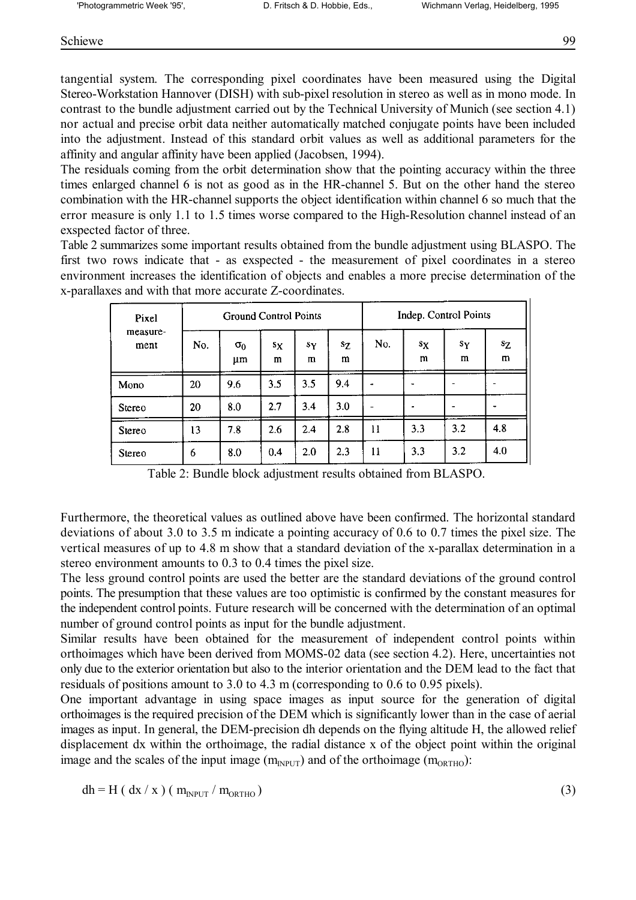Schiewe 99

tangential system. The corresponding pixel coordinates have been measured using the Digital Stereo-Workstation Hannover (DISH) with sub-pixel resolution in stereo as well as in mono mode. In contrast to the bundle adjustment carried out by the Technical University of Munich (see section 4.1) nor actual and precise orbit data neither automatically matched conjugate points have been included into the adjustment. Instead of this standard orbit values as well as additional parameters for the affinity and angular affinity have been applied (Jacobsen, 1994).

The residuals coming from the orbit determination show that the pointing accuracy within the three times enlarged channel 6 is not as good as in the HR-channel 5. But on the other hand the stereo combination with the HR-channel supports the object identification within channel 6 so much that the error measure is only 1.1 to 1.5 times worse compared to the High-Resolution channel instead of an exspected factor of three.

Table 2 summarizes some important results obtained from the bundle adjustment using BLASPO. The first two rows indicate that - as exspected - the measurement of pixel coordinates in a stereo environment increases the identification of objects and enables a more precise determination of the x-parallaxes and with that more accurate Z-coordinates.

| Pixel            | <b>Ground Control Points</b> |                  |            |            | Indep. Control Points |     |                  |            |            |
|------------------|------------------------------|------------------|------------|------------|-----------------------|-----|------------------|------------|------------|
| measure-<br>ment | No.                          | $\sigma_0$<br>μm | $s_X$<br>m | $s_Y$<br>m | SΖ<br>m               | No. | $s_{\rm X}$<br>m | $s_Y$<br>m | $s_Z$<br>m |
| Mono             | 20                           | 9.6              | 3.5        | 3.5        | 9.4                   |     |                  |            |            |
| Stereo           | 20                           | 8.0              | 2.7        | 3.4        | 3.0                   |     |                  |            |            |
| Stereo           | 13                           | 7.8              | 2.6        | 2.4        | 2.8                   | 11  | 3.3              | 3,2        | 4.8        |
| Stereo           | 6                            | 8.0              | 0.4        | 2.0        | 2.3                   | 11  | 3.3              | 3.2        | 4.0        |

Table 2: Bundle block adjustment results obtained from BLASPO.

Furthermore, the theoretical values as outlined above have been confirmed. The horizontal standard deviations of about 3.0 to 3.5 m indicate a pointing accuracy of 0.6 to 0.7 times the pixel size. The vertical measures of up to 4.8 m show that a standard deviation of the x-parallax determination in a stereo environment amounts to 0.3 to 0.4 times the pixel size.

The less ground control points are used the better are the standard deviations of the ground control points. The presumption that these values are too optimistic is confirmed by the constant measures for the independent control points. Future research will be concerned with the determination of an optimal number of ground control points as input for the bundle adjustment.

Similar results have been obtained for the measurement of independent control points within orthoimages which have been derived from MOMS-02 data (see section 4.2). Here, uncertainties not only due to the exterior orientation but also to the interior orientation and the DEM lead to the fact that residuals of positions amount to 3.0 to 4.3 m (corresponding to 0.6 to 0.95 pixels).

One important advantage in using space images as input source for the generation of digital orthoimages is the required precision of the DEM which is significantly lower than in the case of aerial images as input. In general, the DEM-precision dh depends on the flying altitude H, the allowed relief displacement dx within the orthoimage, the radial distance x of the object point within the original image and the scales of the input image  $(m_{NPUT})$  and of the orthoimage  $(m_{ORTHO})$ :

 $dh = H(dx / x) (m_{n\text{Pl}} / m_{\text{ORTHO}})$  (3)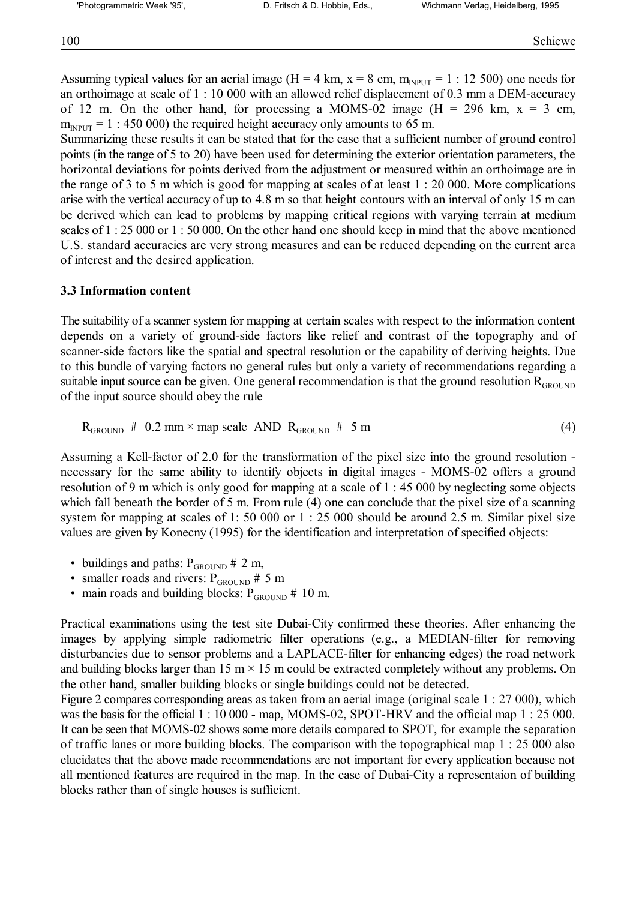Assuming typical values for an aerial image (H = 4 km, x = 8 cm,  $m_{\text{input}} = 1$  : 12 500) one needs for an orthoimage at scale of 1 : 10 000 with an allowed relief displacement of 0.3 mm a DEM-accuracy of 12 m. On the other hand, for processing a MOMS-02 image ( $H = 296$  km,  $x = 3$  cm,  $m_{\text{INPUT}}$  = 1 : 450 000) the required height accuracy only amounts to 65 m.

Summarizing these results it can be stated that for the case that a sufficient number of ground control points (in the range of 5 to 20) have been used for determining the exterior orientation parameters, the horizontal deviations for points derived from the adjustment or measured within an orthoimage are in the range of 3 to 5 m which is good for mapping at scales of at least 1 : 20 000. More complications arise with the vertical accuracy of up to 4.8 m so that height contours with an interval of only 15 m can be derived which can lead to problems by mapping critical regions with varying terrain at medium scales of 1 : 25 000 or 1 : 50 000. On the other hand one should keep in mind that the above mentioned U.S. standard accuracies are very strong measures and can be reduced depending on the current area of interest and the desired application.

#### **3.3 Information content**

The suitability of a scanner system for mapping at certain scales with respect to the information content depends on a variety of ground-side factors like relief and contrast of the topography and of scanner-side factors like the spatial and spectral resolution or the capability of deriving heights. Due to this bundle of varying factors no general rules but only a variety of recommendations regarding a suitable input source can be given. One general recommendation is that the ground resolution  $R_{GROUND}$ of the input source should obey the rule

$$
R_{\text{GROUND}} \# 0.2 \text{ mm} \times \text{map scale AND R}_{\text{GROUND}} \# 5 \text{ m}
$$
 (4)

Assuming a Kell-factor of 2.0 for the transformation of the pixel size into the ground resolution necessary for the same ability to identify objects in digital images - MOMS-02 offers a ground resolution of 9 m which is only good for mapping at a scale of 1 : 45 000 by neglecting some objects which fall beneath the border of 5 m. From rule (4) one can conclude that the pixel size of a scanning system for mapping at scales of 1: 50 000 or 1 : 25 000 should be around 2.5 m. Similar pixel size values are given by Konecny (1995) for the identification and interpretation of specified objects:

- buildings and paths:  $P_{\text{GROUND}} \neq 2 \text{ m}$ ,
- smaller roads and rivers:  $P_{\text{GROUND}} \neq 5 \text{ m}$
- main roads and building blocks:  $P_{GROUND}$  # 10 m.

Practical examinations using the test site Dubai-City confirmed these theories. After enhancing the images by applying simple radiometric filter operations (e.g., a MEDIAN-filter for removing disturbancies due to sensor problems and a LAPLACE-filter for enhancing edges) the road network and building blocks larger than 15 m  $\times$  15 m could be extracted completely without any problems. On the other hand, smaller building blocks or single buildings could not be detected.

Figure 2 compares corresponding areas as taken from an aerial image (original scale 1 : 27 000), which was the basis for the official 1 : 10 000 - map, MOMS-02, SPOT-HRV and the official map 1 : 25 000. It can be seen that MOMS-02 shows some more details compared to SPOT, for example the separation of traffic lanes or more building blocks. The comparison with the topographical map 1 : 25 000 also elucidates that the above made recommendations are not important for every application because not all mentioned features are required in the map. In the case of Dubai-City a representaion of building blocks rather than of single houses is sufficient.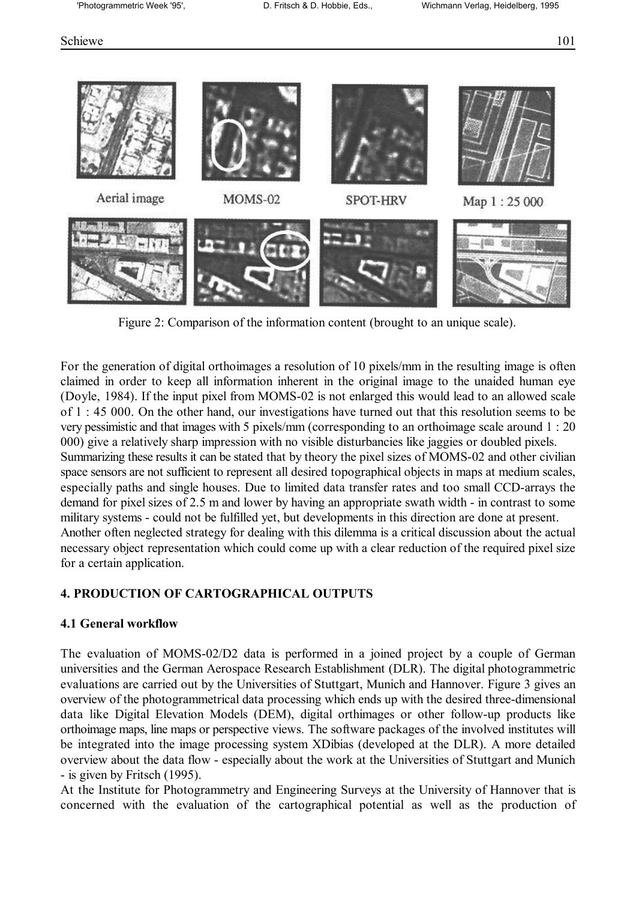#### Schiewe 101



Figure 2: Comparison of the information content (brought to an unique scale).

For the generation of digital orthoimages a resolution of 10 pixels/mm in the resulting image is often claimed in order to keep all information inherent in the original image to the unaided human eye (Doyle, 1984). If the input pixel from MOMS-02 is not enlarged this would lead to an allowed scale of 1 : 45 000. On the other hand, our investigations have turned out that this resolution seems to be very pessimistic and that images with 5 pixels/mm (corresponding to an orthoimage scale around 1 : 20 000) give a relatively sharp impression with no visible disturbancies like jaggies or doubled pixels. Summarizing these results it can be stated that by theory the pixel sizes of MOMS-02 and other civilian space sensors are not sufficient to represent all desired topographical objects in maps at medium scales, especially paths and single houses. Due to limited data transfer rates and too small CCD-arrays the demand for pixel sizes of 2.5 m and lower by having an appropriate swath width - in contrast to some military systems - could not be fulfilled yet, but developments in this direction are done at present. Another often neglected strategy for dealing with this dilemma is a critical discussion about the actual necessary object representation which could come up with a clear reduction of the required pixel size for a certain application.

### **4. PRODUCTION OF CARTOGRAPHICAL OUTPUTS**

### **4.1 General workflow**

The evaluation of MOMS-02/D2 data is performed in a joined project by a couple of German universities and the German Aerospace Research Establishment (DLR). The digital photogrammetric evaluations are carried out by the Universities of Stuttgart, Munich and Hannover. Figure 3 gives an overview of the photogrammetrical data processing which ends up with the desired three-dimensional data like Digital Elevation Models (DEM), digital orthimages or other follow-up products like orthoimage maps, line maps or perspective views. The software packages of the involved institutes will be integrated into the image processing system XDibias (developed at the DLR). A more detailed overview about the data flow - especially about the work at the Universities of Stuttgart and Munich - is given by Fritsch (1995).

At the Institute for Photogrammetry and Engineering Surveys at the University of Hannover that is concerned with the evaluation of the cartographical potential as well as the production of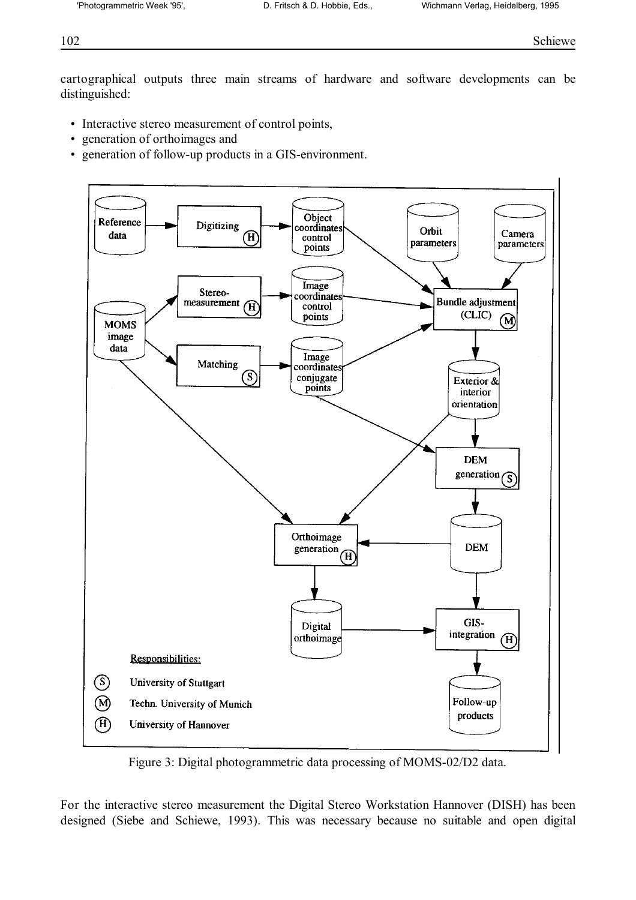cartographical outputs three main streams of hardware and software developments can be distinguished:

- Interactive stereo measurement of control points,
- generation of orthoimages and
- generation of follow-up products in a GIS-environment.



Figure 3: Digital photogrammetric data processing of MOMS-02/D2 data.

For the interactive stereo measurement the Digital Stereo Workstation Hannover (DISH) has been designed (Siebe and Schiewe, 1993). This was necessary because no suitable and open digital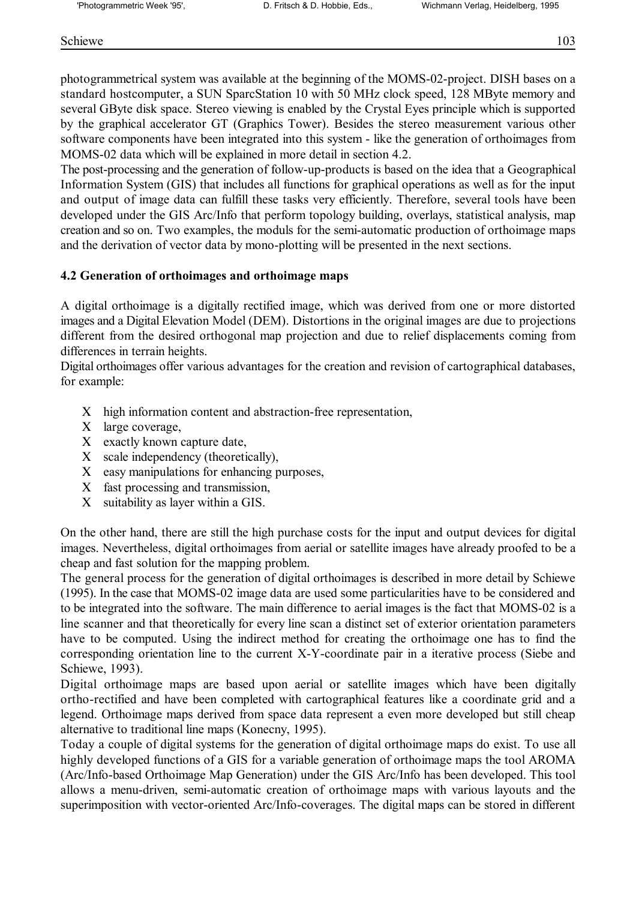photogrammetrical system was available at the beginning of the MOMS-02-project. DISH bases on a standard hostcomputer, a SUN SparcStation 10 with 50 MHz clock speed, 128 MByte memory and several GByte disk space. Stereo viewing is enabled by the Crystal Eyes principle which is supported by the graphical accelerator GT (Graphics Tower). Besides the stereo measurement various other software components have been integrated into this system - like the generation of orthoimages from MOMS-02 data which will be explained in more detail in section 4.2.

The post-processing and the generation of follow-up-products is based on the idea that a Geographical Information System (GIS) that includes all functions for graphical operations as well as for the input and output of image data can fulfill these tasks very efficiently. Therefore, several tools have been developed under the GIS Arc/Info that perform topology building, overlays, statistical analysis, map creation and so on. Two examples, the moduls for the semi-automatic production of orthoimage maps and the derivation of vector data by mono-plotting will be presented in the next sections.

## **4.2 Generation of orthoimages and orthoimage maps**

A digital orthoimage is a digitally rectified image, which was derived from one or more distorted images and a Digital Elevation Model (DEM). Distortions in the original images are due to projections different from the desired orthogonal map projection and due to relief displacements coming from differences in terrain heights.

Digital orthoimages offer various advantages for the creation and revision of cartographical databases, for example:

- Χ high information content and abstraction-free representation,
- Χ large coverage,
- Χ exactly known capture date,
- Χ scale independency (theoretically),
- Χ easy manipulations for enhancing purposes,
- Χ fast processing and transmission,
- X suitability as layer within a GIS.

On the other hand, there are still the high purchase costs for the input and output devices for digital images. Nevertheless, digital orthoimages from aerial or satellite images have already proofed to be a cheap and fast solution for the mapping problem.

The general process for the generation of digital orthoimages is described in more detail by Schiewe (1995). In the case that MOMS-02 image data are used some particularities have to be considered and to be integrated into the software. The main difference to aerial images is the fact that MOMS-02 is a line scanner and that theoretically for every line scan a distinct set of exterior orientation parameters have to be computed. Using the indirect method for creating the orthoimage one has to find the corresponding orientation line to the current X-Y-coordinate pair in a iterative process (Siebe and Schiewe, 1993).

Digital orthoimage maps are based upon aerial or satellite images which have been digitally ortho-rectified and have been completed with cartographical features like a coordinate grid and a legend. Orthoimage maps derived from space data represent a even more developed but still cheap alternative to traditional line maps (Konecny, 1995).

Today a couple of digital systems for the generation of digital orthoimage maps do exist. To use all highly developed functions of a GIS for a variable generation of orthoimage maps the tool AROMA (Arc/Info-based Orthoimage Map Generation) under the GIS Arc/Info has been developed. This tool allows a menu-driven, semi-automatic creation of orthoimage maps with various layouts and the superimposition with vector-oriented Arc/Info-coverages. The digital maps can be stored in different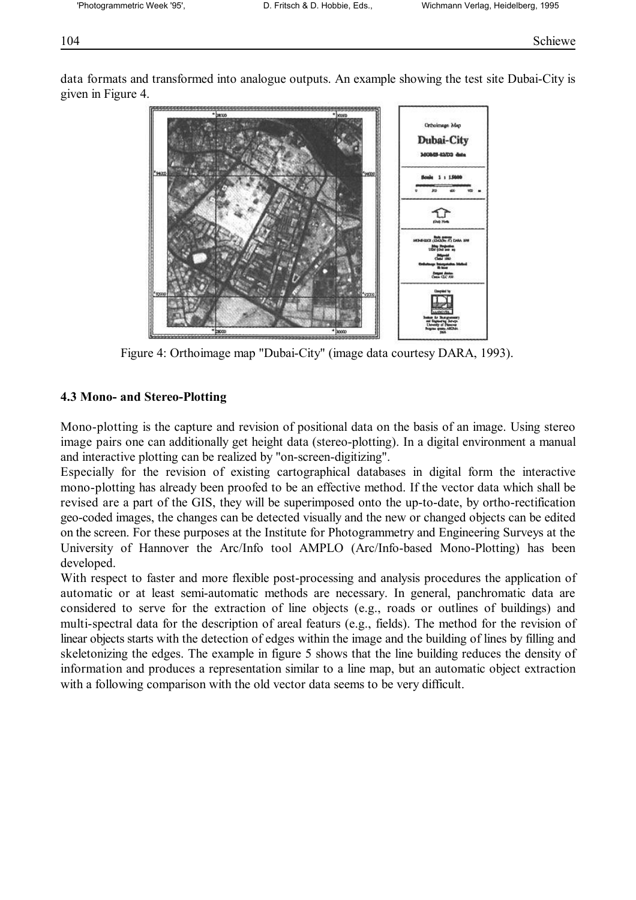data formats and transformed into analogue outputs. An example showing the test site Dubai-City is given in Figure 4.



Figure 4: Orthoimage map "Dubai-City" (image data courtesy DARA, 1993).

## **4.3 Mono- and Stereo-Plotting**

Mono-plotting is the capture and revision of positional data on the basis of an image. Using stereo image pairs one can additionally get height data (stereo-plotting). In a digital environment a manual and interactive plotting can be realized by "on-screen-digitizing".

Especially for the revision of existing cartographical databases in digital form the interactive mono-plotting has already been proofed to be an effective method. If the vector data which shall be revised are a part of the GIS, they will be superimposed onto the up-to-date, by ortho-rectification geo-coded images, the changes can be detected visually and the new or changed objects can be edited on the screen. For these purposes at the Institute for Photogrammetry and Engineering Surveys at the University of Hannover the Arc/Info tool AMPLO (Arc/Info-based Mono-Plotting) has been developed.

With respect to faster and more flexible post-processing and analysis procedures the application of automatic or at least semi-automatic methods are necessary. In general, panchromatic data are considered to serve for the extraction of line objects (e.g., roads or outlines of buildings) and multi-spectral data for the description of areal featurs (e.g., fields). The method for the revision of linear objects starts with the detection of edges within the image and the building of lines by filling and skeletonizing the edges. The example in figure 5 shows that the line building reduces the density of information and produces a representation similar to a line map, but an automatic object extraction with a following comparison with the old vector data seems to be very difficult.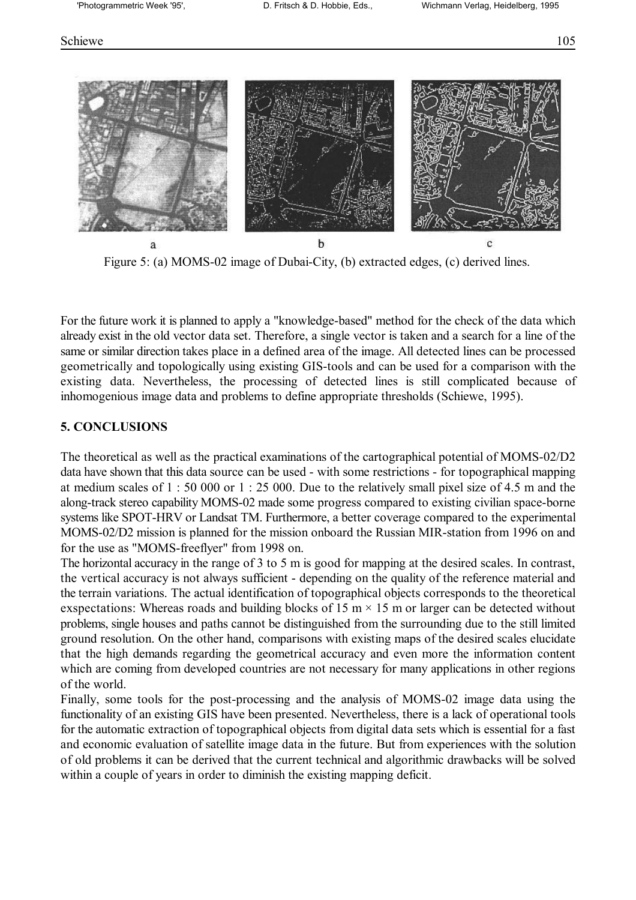#### Schiewe 105



Figure 5: (a) MOMS-02 image of Dubai-City, (b) extracted edges, (c) derived lines.

For the future work it is planned to apply a "knowledge-based" method for the check of the data which already exist in the old vector data set. Therefore, a single vector is taken and a search for a line of the same or similar direction takes place in a defined area of the image. All detected lines can be processed geometrically and topologically using existing GIS-tools and can be used for a comparison with the existing data. Nevertheless, the processing of detected lines is still complicated because of inhomogenious image data and problems to define appropriate thresholds (Schiewe, 1995).

#### **5. CONCLUSIONS**

The theoretical as well as the practical examinations of the cartographical potential of MOMS-02/D2 data have shown that this data source can be used - with some restrictions - for topographical mapping at medium scales of 1 : 50 000 or 1 : 25 000. Due to the relatively small pixel size of 4.5 m and the along-track stereo capability MOMS-02 made some progress compared to existing civilian space-borne systems like SPOT-HRV or Landsat TM. Furthermore, a better coverage compared to the experimental MOMS-02/D2 mission is planned for the mission onboard the Russian MIR-station from 1996 on and for the use as "MOMS-freeflyer" from 1998 on.

The horizontal accuracy in the range of 3 to 5 m is good for mapping at the desired scales. In contrast, the vertical accuracy is not always sufficient - depending on the quality of the reference material and the terrain variations. The actual identification of topographical objects corresponds to the theoretical exspectations: Whereas roads and building blocks of 15 m  $\times$  15 m or larger can be detected without problems, single houses and paths cannot be distinguished from the surrounding due to the still limited ground resolution. On the other hand, comparisons with existing maps of the desired scales elucidate that the high demands regarding the geometrical accuracy and even more the information content which are coming from developed countries are not necessary for many applications in other regions of the world.

Finally, some tools for the post-processing and the analysis of MOMS-02 image data using the functionality of an existing GIS have been presented. Nevertheless, there is a lack of operational tools for the automatic extraction of topographical objects from digital data sets which is essential for a fast and economic evaluation of satellite image data in the future. But from experiences with the solution of old problems it can be derived that the current technical and algorithmic drawbacks will be solved within a couple of years in order to diminish the existing mapping deficit.